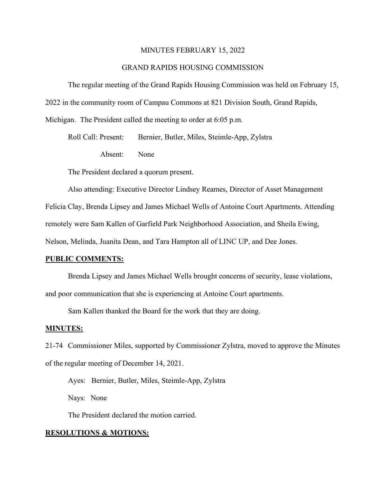#### MINUTES FEBRUARY 15, 2022

## GRAND RAPIDS HOUSING COMMISSION

The regular meeting of the Grand Rapids Housing Commission was held on February 15, 2022 in the community room of Campau Commons at 821 Division South, Grand Rapids, Michigan. The President called the meeting to order at 6:05 p.m.

Roll Call: Present: Bernier, Butler, Miles, Steimle-App, Zylstra

Absent: None

The President declared a quorum present.

Also attending: Executive Director Lindsey Reames, Director of Asset Management Felicia Clay, Brenda Lipsey and James Michael Wells of Antoine Court Apartments. Attending remotely were Sam Kallen of Garfield Park Neighborhood Association, and Sheila Ewing,

Nelson, Melinda, Juanita Dean, and Tara Hampton all of LINC UP, and Dee Jones.

## **PUBLIC COMMENTS:**

Brenda Lipsey and James Michael Wells brought concerns of security, lease violations, and poor communication that she is experiencing at Antoine Court apartments.

Sam Kallen thanked the Board for the work that they are doing.

#### **MINUTES:**

21-74 Commissioner Miles, supported by Commissioner Zylstra, moved to approve the Minutes of the regular meeting of December 14, 2021.

Ayes: Bernier, Butler, Miles, Steimle-App, Zylstra Nays: None

The President declared the motion carried.

## **RESOLUTIONS & MOTIONS:**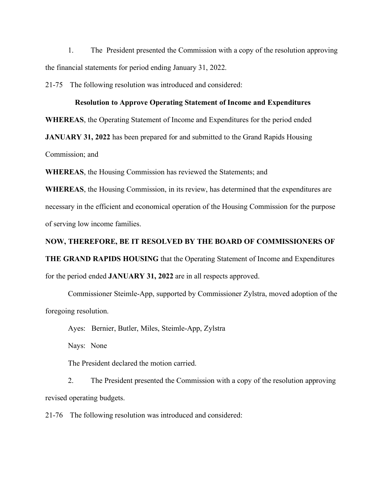1. The President presented the Commission with a copy of the resolution approving the financial statements for period ending January 31, 2022.

21-75 The following resolution was introduced and considered:

## **Resolution to Approve Operating Statement of Income and Expenditures**

**WHEREAS**, the Operating Statement of Income and Expenditures for the period ended

**JANUARY 31, 2022** has been prepared for and submitted to the Grand Rapids Housing

Commission; and

**WHEREAS**, the Housing Commission has reviewed the Statements; and

**WHEREAS**, the Housing Commission, in its review, has determined that the expenditures are necessary in the efficient and economical operation of the Housing Commission for the purpose of serving low income families.

## **NOW, THEREFORE, BE IT RESOLVED BY THE BOARD OF COMMISSIONERS OF**

**THE GRAND RAPIDS HOUSING** that the Operating Statement of Income and Expenditures for the period ended **JANUARY 31, 2022** are in all respects approved.

Commissioner Steimle-App, supported by Commissioner Zylstra, moved adoption of the foregoing resolution.

Ayes: Bernier, Butler, Miles, Steimle-App, Zylstra

Nays: None

The President declared the motion carried.

2. The President presented the Commission with a copy of the resolution approving revised operating budgets.

21-76 The following resolution was introduced and considered: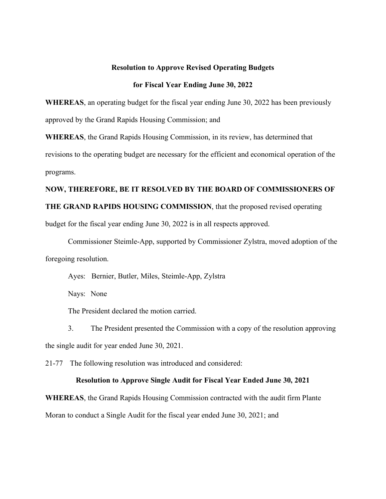## **Resolution to Approve Revised Operating Budgets**

## **for Fiscal Year Ending June 30, 2022**

**WHEREAS**, an operating budget for the fiscal year ending June 30, 2022 has been previously approved by the Grand Rapids Housing Commission; and

**WHEREAS**, the Grand Rapids Housing Commission, in its review, has determined that revisions to the operating budget are necessary for the efficient and economical operation of the programs.

## **NOW, THEREFORE, BE IT RESOLVED BY THE BOARD OF COMMISSIONERS OF**

## **THE GRAND RAPIDS HOUSING COMMISSION**, that the proposed revised operating

budget for the fiscal year ending June 30, 2022 is in all respects approved.

Commissioner Steimle-App, supported by Commissioner Zylstra, moved adoption of the foregoing resolution.

Ayes: Bernier, Butler, Miles, Steimle-App, Zylstra

Nays: None

The President declared the motion carried.

3. The President presented the Commission with a copy of the resolution approving the single audit for year ended June 30, 2021.

21-77 The following resolution was introduced and considered:

#### **Resolution to Approve Single Audit for Fiscal Year Ended June 30, 2021**

**WHEREAS**, the Grand Rapids Housing Commission contracted with the audit firm Plante Moran to conduct a Single Audit for the fiscal year ended June 30, 2021; and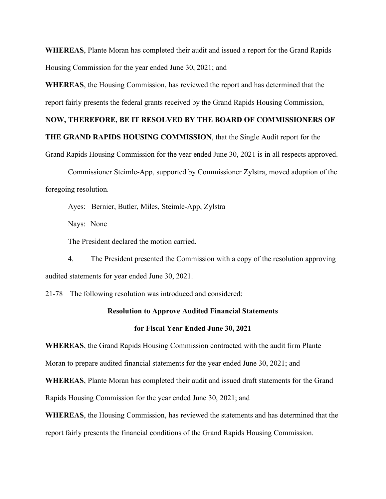**WHEREAS**, Plante Moran has completed their audit and issued a report for the Grand Rapids Housing Commission for the year ended June 30, 2021; and

**WHEREAS**, the Housing Commission, has reviewed the report and has determined that the report fairly presents the federal grants received by the Grand Rapids Housing Commission,

## **NOW, THEREFORE, BE IT RESOLVED BY THE BOARD OF COMMISSIONERS OF**

**THE GRAND RAPIDS HOUSING COMMISSION**, that the Single Audit report for the

Grand Rapids Housing Commission for the year ended June 30, 2021 is in all respects approved.

Commissioner Steimle-App, supported by Commissioner Zylstra, moved adoption of the foregoing resolution.

Ayes: Bernier, Butler, Miles, Steimle-App, Zylstra

Nays: None

The President declared the motion carried.

4. The President presented the Commission with a copy of the resolution approving audited statements for year ended June 30, 2021.

21-78 The following resolution was introduced and considered:

#### **Resolution to Approve Audited Financial Statements**

#### **for Fiscal Year Ended June 30, 2021**

**WHEREAS**, the Grand Rapids Housing Commission contracted with the audit firm Plante

Moran to prepare audited financial statements for the year ended June 30, 2021; and

**WHEREAS**, Plante Moran has completed their audit and issued draft statements for the Grand

Rapids Housing Commission for the year ended June 30, 2021; and

**WHEREAS**, the Housing Commission, has reviewed the statements and has determined that the report fairly presents the financial conditions of the Grand Rapids Housing Commission.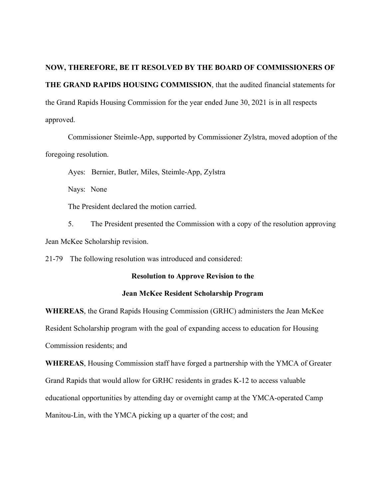**NOW, THEREFORE, BE IT RESOLVED BY THE BOARD OF COMMISSIONERS OF THE GRAND RAPIDS HOUSING COMMISSION**, that the audited financial statements for the Grand Rapids Housing Commission for the year ended June 30, 2021 is in all respects approved.

Commissioner Steimle-App, supported by Commissioner Zylstra, moved adoption of the foregoing resolution.

Ayes: Bernier, Butler, Miles, Steimle-App, Zylstra

Nays: None

The President declared the motion carried.

5. The President presented the Commission with a copy of the resolution approving Jean McKee Scholarship revision.

21-79 The following resolution was introduced and considered:

#### **Resolution to Approve Revision to the**

## **Jean McKee Resident Scholarship Program**

**WHEREAS**, the Grand Rapids Housing Commission (GRHC) administers the Jean McKee Resident Scholarship program with the goal of expanding access to education for Housing Commission residents; and

**WHEREAS**, Housing Commission staff have forged a partnership with the YMCA of Greater Grand Rapids that would allow for GRHC residents in grades K-12 to access valuable educational opportunities by attending day or overnight camp at the YMCA-operated Camp Manitou-Lin, with the YMCA picking up a quarter of the cost; and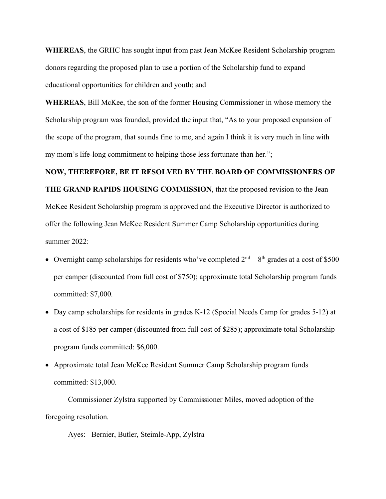**WHEREAS**, the GRHC has sought input from past Jean McKee Resident Scholarship program donors regarding the proposed plan to use a portion of the Scholarship fund to expand educational opportunities for children and youth; and

**WHEREAS**, Bill McKee, the son of the former Housing Commissioner in whose memory the Scholarship program was founded, provided the input that, "As to your proposed expansion of the scope of the program, that sounds fine to me, and again I think it is very much in line with my mom's life-long commitment to helping those less fortunate than her.";

## **NOW, THEREFORE, BE IT RESOLVED BY THE BOARD OF COMMISSIONERS OF**

**THE GRAND RAPIDS HOUSING COMMISSION**, that the proposed revision to the Jean McKee Resident Scholarship program is approved and the Executive Director is authorized to offer the following Jean McKee Resident Summer Camp Scholarship opportunities during summer 2022:

- Overnight camp scholarships for residents who've completed  $2<sup>nd</sup> 8<sup>th</sup>$  grades at a cost of \$500 per camper (discounted from full cost of \$750); approximate total Scholarship program funds committed: \$7,000.
- Day camp scholarships for residents in grades K-12 (Special Needs Camp for grades 5-12) at a cost of \$185 per camper (discounted from full cost of \$285); approximate total Scholarship program funds committed: \$6,000.
- Approximate total Jean McKee Resident Summer Camp Scholarship program funds committed: \$13,000.

Commissioner Zylstra supported by Commissioner Miles, moved adoption of the foregoing resolution.

Ayes: Bernier, Butler, Steimle-App, Zylstra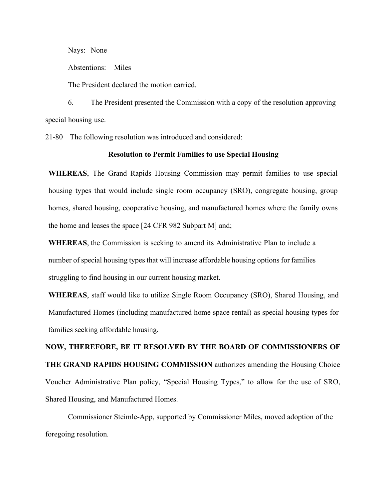Nays: None

Abstentions: Miles

The President declared the motion carried.

6. The President presented the Commission with a copy of the resolution approving special housing use.

21-80 The following resolution was introduced and considered:

## **Resolution to Permit Families to use Special Housing**

**WHEREAS**, The Grand Rapids Housing Commission may permit families to use special housing types that would include single room occupancy (SRO), congregate housing, group homes, shared housing, cooperative housing, and manufactured homes where the family owns the home and leases the space [24 CFR 982 Subpart M] and;

**WHEREAS**, the Commission is seeking to amend its Administrative Plan to include a number of special housing types that will increase affordable housing options for families struggling to find housing in our current housing market.

**WHEREAS**, staff would like to utilize Single Room Occupancy (SRO), Shared Housing, and Manufactured Homes (including manufactured home space rental) as special housing types for families seeking affordable housing.

**NOW, THEREFORE, BE IT RESOLVED BY THE BOARD OF COMMISSIONERS OF THE GRAND RAPIDS HOUSING COMMISSION** authorizes amending the Housing Choice Voucher Administrative Plan policy, "Special Housing Types," to allow for the use of SRO, Shared Housing, and Manufactured Homes.

Commissioner Steimle-App, supported by Commissioner Miles, moved adoption of the foregoing resolution.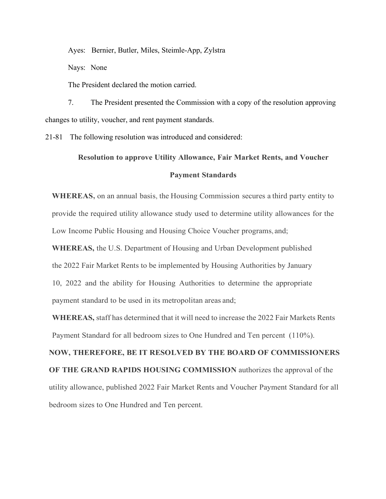Ayes: Bernier, Butler, Miles, Steimle-App, Zylstra

Nays: None

The President declared the motion carried.

7. The President presented the Commission with a copy of the resolution approving changes to utility, voucher, and rent payment standards.

21-81 The following resolution was introduced and considered:

# **Resolution to approve Utility Allowance, Fair Market Rents, and Voucher Payment Standards**

**WHEREAS,** on an annual basis, the Housing Commission secures a third party entity to provide the required utility allowance study used to determine utility allowances for the Low Income Public Housing and Housing Choice Voucher programs, and;

**WHEREAS,** the U.S. Department of Housing and Urban Development published the 2022 Fair Market Rents to be implemented by Housing Authorities by January 10, 2022 and the ability for Housing Authorities to determine the appropriate payment standard to be used in its metropolitan areas and;

**WHEREAS,** staff has determined that it will need to increase the 2022 Fair Markets Rents Payment Standard for all bedroom sizes to One Hundred and Ten percent (110%).

**NOW, THEREFORE, BE IT RESOLVED BY THE BOARD OF COMMISSIONERS OF THE GRAND RAPIDS HOUSING COMMISSION** authorizes the approval of the utility allowance, published 2022 Fair Market Rents and Voucher Payment Standard for all bedroom sizes to One Hundred and Ten percent.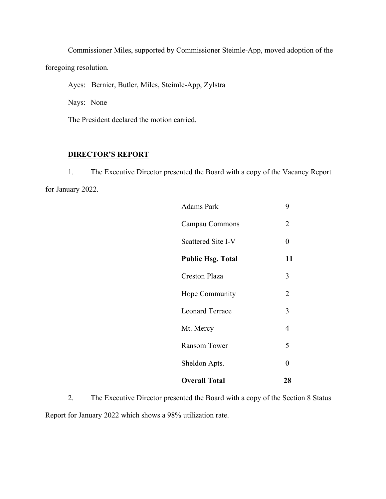Commissioner Miles, supported by Commissioner Steimle-App, moved adoption of the foregoing resolution.

Ayes: Bernier, Butler, Miles, Steimle-App, Zylstra

Nays: None

The President declared the motion carried.

## **DIRECTOR'S REPORT**

1. The Executive Director presented the Board with a copy of the Vacancy Report for January 2022.

| <b>Adams Park</b>        | 9              |
|--------------------------|----------------|
| Campau Commons           | 2              |
| Scattered Site I-V       | $\theta$       |
| <b>Public Hsg. Total</b> | 11             |
| Creston Plaza            | 3              |
| Hope Community           | $\overline{2}$ |
| <b>Leonard Terrace</b>   | 3              |
| Mt. Mercy                | 4              |
| <b>Ransom Tower</b>      | 5              |
| Sheldon Apts.            | 0              |
| <b>Overall Total</b>     | 28             |

2. The Executive Director presented the Board with a copy of the Section 8 Status Report for January 2022 which shows a 98% utilization rate.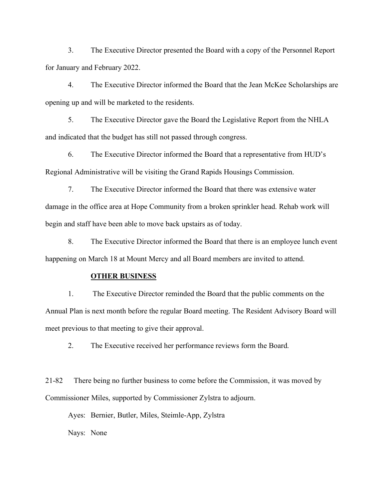3. The Executive Director presented the Board with a copy of the Personnel Report for January and February 2022.

4. The Executive Director informed the Board that the Jean McKee Scholarships are opening up and will be marketed to the residents.

5. The Executive Director gave the Board the Legislative Report from the NHLA and indicated that the budget has still not passed through congress.

6. The Executive Director informed the Board that a representative from HUD's Regional Administrative will be visiting the Grand Rapids Housings Commission.

7. The Executive Director informed the Board that there was extensive water damage in the office area at Hope Community from a broken sprinkler head. Rehab work will begin and staff have been able to move back upstairs as of today.

8. The Executive Director informed the Board that there is an employee lunch event happening on March 18 at Mount Mercy and all Board members are invited to attend.

#### **OTHER BUSINESS**

1. The Executive Director reminded the Board that the public comments on the Annual Plan is next month before the regular Board meeting. The Resident Advisory Board will meet previous to that meeting to give their approval.

2. The Executive received her performance reviews form the Board.

21-82 There being no further business to come before the Commission, it was moved by Commissioner Miles, supported by Commissioner Zylstra to adjourn.

Ayes: Bernier, Butler, Miles, Steimle-App, Zylstra

Nays: None